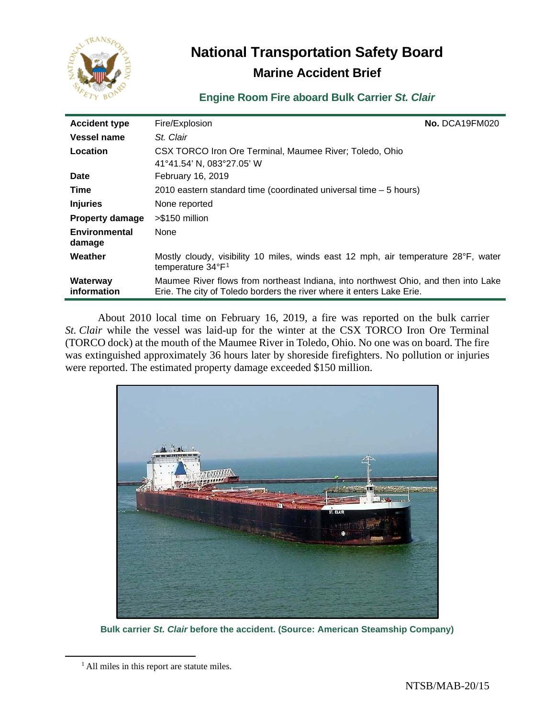

# **National Transportation Safety Board Marine Accident Brief**

# **Engine Room Fire aboard Bulk Carrier** *St. Clair*

| <b>Accident type</b>    | Fire/Explosion                                                                                                                                              | No. DCA19FM020 |
|-------------------------|-------------------------------------------------------------------------------------------------------------------------------------------------------------|----------------|
| <b>Vessel name</b>      | St. Clair                                                                                                                                                   |                |
| Location                | CSX TORCO Iron Ore Terminal, Maumee River; Toledo, Ohio<br>41°41.54' N, 083°27.05' W                                                                        |                |
| <b>Date</b>             | February 16, 2019                                                                                                                                           |                |
| Time                    | 2010 eastern standard time (coordinated universal time - 5 hours)                                                                                           |                |
| <b>Injuries</b>         | None reported                                                                                                                                               |                |
| <b>Property damage</b>  | >\$150 million                                                                                                                                              |                |
| Environmental<br>damage | None                                                                                                                                                        |                |
| Weather                 | Mostly cloudy, visibility 10 miles, winds east 12 mph, air temperature 28°F, water<br>temperature 34°F <sup>1</sup>                                         |                |
| Waterway<br>information | Maumee River flows from northeast Indiana, into northwest Ohio, and then into Lake<br>Erie. The city of Toledo borders the river where it enters Lake Erie. |                |

About 2010 local time on February 16, 2019, a fire was reported on the bulk carrier *St. Clair* while the vessel was laid-up for the winter at the CSX TORCO Iron Ore Terminal (TORCO dock) at the mouth of the Maumee River in Toledo, Ohio. No one was on board. The fire was extinguished approximately 36 hours later by shoreside firefighters. No pollution or injuries were reported. The estimated property damage exceeded \$150 million.



**Bulk carrier** *St. Clair* **before the accident. (Source: American Steamship Company)**

<span id="page-0-0"></span><sup>&</sup>lt;sup>1</sup> All miles in this report are statute miles.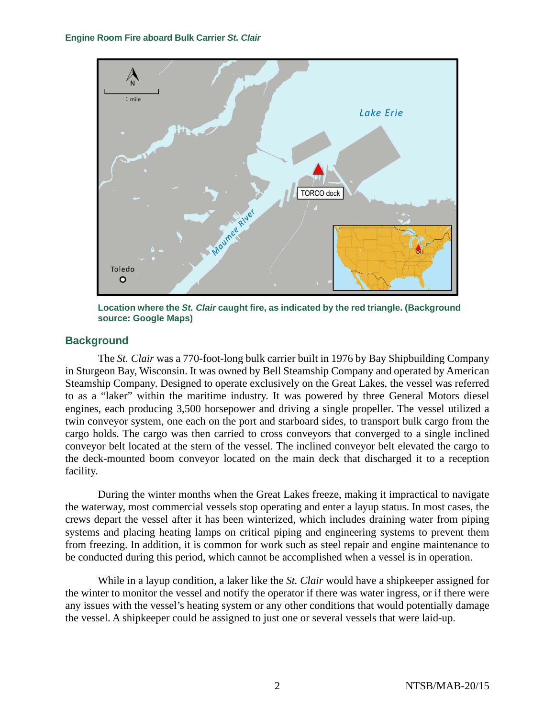

**Location where the** *St. Clair* **caught fire, as indicated by the red triangle. (Background source: Google Maps)**

## **Background**

The *St. Clair* was a 770-foot-long bulk carrier built in 1976 by Bay Shipbuilding Company in Sturgeon Bay, Wisconsin. It was owned by Bell Steamship Company and operated by American Steamship Company. Designed to operate exclusively on the Great Lakes, the vessel was referred to as a "laker" within the maritime industry. It was powered by three General Motors diesel engines, each producing 3,500 horsepower and driving a single propeller. The vessel utilized a twin conveyor system, one each on the port and starboard sides, to transport bulk cargo from the cargo holds. The cargo was then carried to cross conveyors that converged to a single inclined conveyor belt located at the stern of the vessel. The inclined conveyor belt elevated the cargo to the deck-mounted boom conveyor located on the main deck that discharged it to a reception facility.

During the winter months when the Great Lakes freeze, making it impractical to navigate the waterway, most commercial vessels stop operating and enter a layup status. In most cases, the crews depart the vessel after it has been winterized, which includes draining water from piping systems and placing heating lamps on critical piping and engineering systems to prevent them from freezing. In addition, it is common for work such as steel repair and engine maintenance to be conducted during this period, which cannot be accomplished when a vessel is in operation.

While in a layup condition, a laker like the *St. Clair* would have a shipkeeper assigned for the winter to monitor the vessel and notify the operator if there was water ingress, or if there were any issues with the vessel's heating system or any other conditions that would potentially damage the vessel. A shipkeeper could be assigned to just one or several vessels that were laid-up.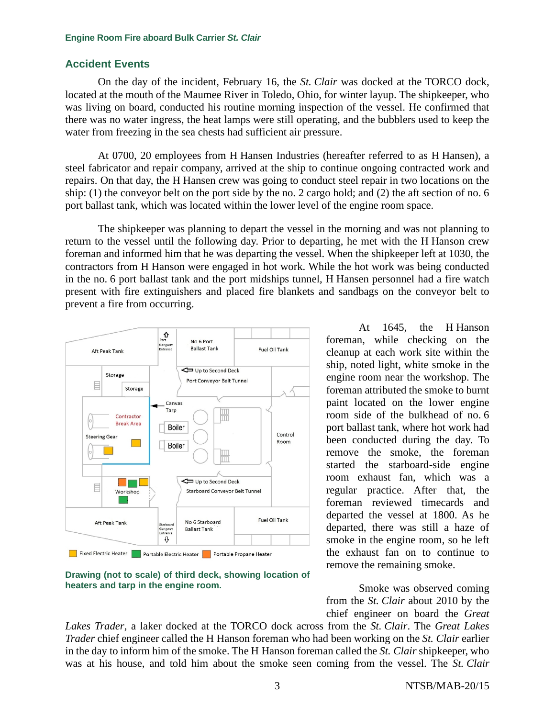### **Accident Events**

On the day of the incident, February 16, the *St. Clair* was docked at the TORCO dock, located at the mouth of the Maumee River in Toledo, Ohio, for winter layup. The shipkeeper, who was living on board, conducted his routine morning inspection of the vessel. He confirmed that there was no water ingress, the heat lamps were still operating, and the bubblers used to keep the water from freezing in the sea chests had sufficient air pressure.

At 0700, 20 employees from H Hansen Industries (hereafter referred to as H Hansen), a steel fabricator and repair company, arrived at the ship to continue ongoing contracted work and repairs. On that day, the H Hansen crew was going to conduct steel repair in two locations on the ship: (1) the conveyor belt on the port side by the no. 2 cargo hold; and (2) the aft section of no. 6 port ballast tank, which was located within the lower level of the engine room space.

The shipkeeper was planning to depart the vessel in the morning and was not planning to return to the vessel until the following day. Prior to departing, he met with the H Hanson crew foreman and informed him that he was departing the vessel. When the shipkeeper left at 1030, the contractors from H Hanson were engaged in hot work. While the hot work was being conducted in the no. 6 port ballast tank and the port midships tunnel, H Hansen personnel had a fire watch present with fire extinguishers and placed fire blankets and sandbags on the conveyor belt to prevent a fire from occurring.



**Drawing (not to scale) of third deck, showing location of heaters and tarp in the engine room.**

At 1645, the H Hanson foreman, while checking on the cleanup at each work site within the ship, noted light, white smoke in the engine room near the workshop. The foreman attributed the smoke to burnt paint located on the lower engine room side of the bulkhead of no. 6 port ballast tank, where hot work had been conducted during the day. To remove the smoke, the foreman started the starboard-side engine room exhaust fan, which was a regular practice. After that, the foreman reviewed timecards and departed the vessel at 1800. As he departed, there was still a haze of smoke in the engine room, so he left the exhaust fan on to continue to remove the remaining smoke.

Smoke was observed coming from the *St. Clair* about 2010 by the chief engineer on board the *Great* 

*Lakes Trader*, a laker docked at the TORCO dock across from the *St. Clair*. The *Great Lakes Trader* chief engineer called the H Hanson foreman who had been working on the *St. Clair* earlier in the day to inform him of the smoke. The H Hanson foreman called the *St. Clair* shipkeeper, who was at his house, and told him about the smoke seen coming from the vessel. The *St. Clair*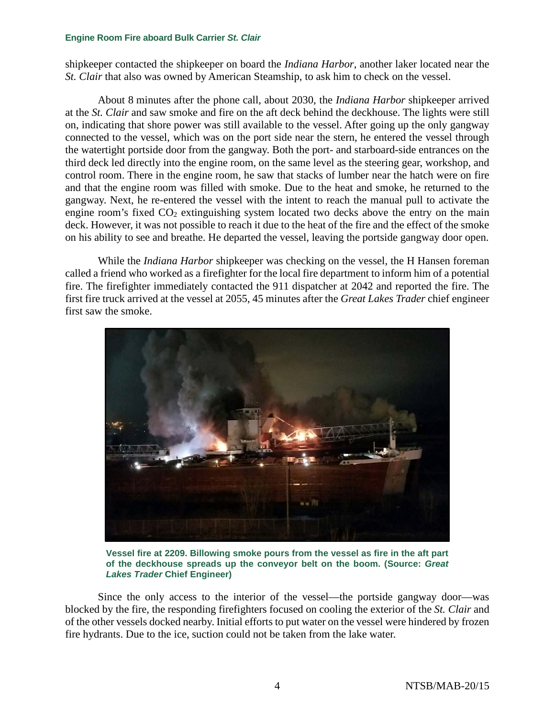shipkeeper contacted the shipkeeper on board the *Indiana Harbor*, another laker located near the *St. Clair* that also was owned by American Steamship, to ask him to check on the vessel.

About 8 minutes after the phone call, about 2030, the *Indiana Harbor* shipkeeper arrived at the *St. Clair* and saw smoke and fire on the aft deck behind the deckhouse. The lights were still on, indicating that shore power was still available to the vessel. After going up the only gangway connected to the vessel, which was on the port side near the stern, he entered the vessel through the watertight portside door from the gangway. Both the port- and starboard-side entrances on the third deck led directly into the engine room, on the same level as the steering gear, workshop, and control room. There in the engine room, he saw that stacks of lumber near the hatch were on fire and that the engine room was filled with smoke. Due to the heat and smoke, he returned to the gangway. Next, he re-entered the vessel with the intent to reach the manual pull to activate the engine room's fixed  $CO<sub>2</sub>$  extinguishing system located two decks above the entry on the main deck. However, it was not possible to reach it due to the heat of the fire and the effect of the smoke on his ability to see and breathe. He departed the vessel, leaving the portside gangway door open.

While the *Indiana Harbor* shipkeeper was checking on the vessel, the H Hansen foreman called a friend who worked as a firefighter for the local fire department to inform him of a potential fire. The firefighter immediately contacted the 911 dispatcher at 2042 and reported the fire. The first fire truck arrived at the vessel at 2055, 45 minutes after the *Great Lakes Trader* chief engineer first saw the smoke.



**Vessel fire at 2209. Billowing smoke pours from the vessel as fire in the aft part of the deckhouse spreads up the conveyor belt on the boom. (Source:** *Great Lakes Trader* **Chief Engineer)**

Since the only access to the interior of the vessel—the portside gangway door—was blocked by the fire, the responding firefighters focused on cooling the exterior of the *St. Clair* and of the other vessels docked nearby. Initial efforts to put water on the vessel were hindered by frozen fire hydrants. Due to the ice, suction could not be taken from the lake water.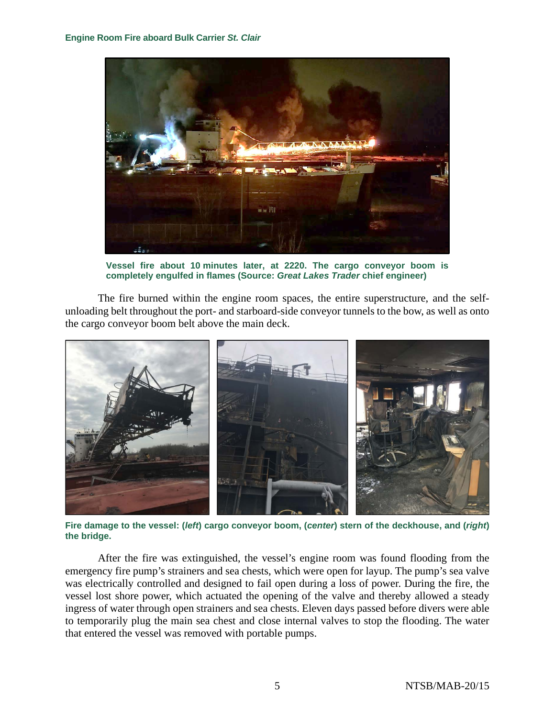

**Vessel fire about 10 minutes later, at 2220. The cargo conveyor boom is completely engulfed in flames (Source:** *Great Lakes Trader* **chief engineer)**

The fire burned within the engine room spaces, the entire superstructure, and the selfunloading belt throughout the port- and starboard-side conveyor tunnels to the bow, as well as onto the cargo conveyor boom belt above the main deck.



**Fire damage to the vessel: (***left***) cargo conveyor boom, (***center***) stern of the deckhouse, and (***right***) the bridge.**

After the fire was extinguished, the vessel's engine room was found flooding from the emergency fire pump's strainers and sea chests, which were open for layup. The pump's sea valve was electrically controlled and designed to fail open during a loss of power. During the fire, the vessel lost shore power, which actuated the opening of the valve and thereby allowed a steady ingress of water through open strainers and sea chests. Eleven days passed before divers were able to temporarily plug the main sea chest and close internal valves to stop the flooding. The water that entered the vessel was removed with portable pumps.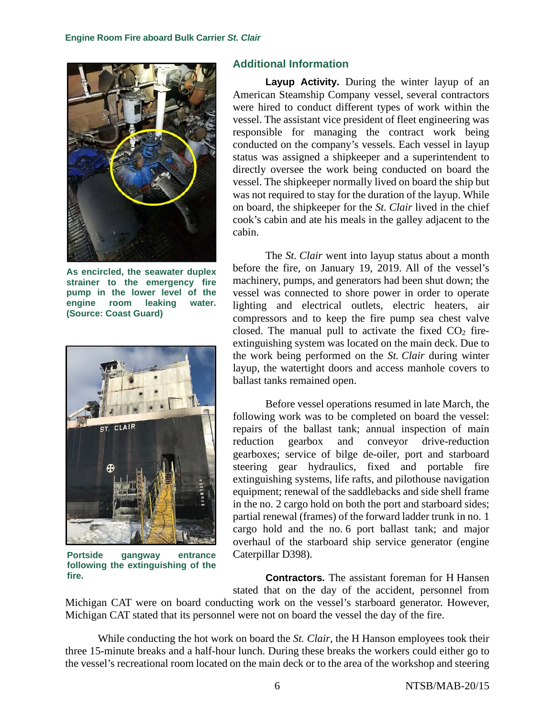

**As encircled, the seawater duplex strainer to the emergency fire pump in the lower level of the engine room leaking water. (Source: Coast Guard)**



**Portside gangway entrance following the extinguishing of the fire.**

### **Additional Information**

**Layup Activity.** During the winter layup of an American Steamship Company vessel, several contractors were hired to conduct different types of work within the vessel. The assistant vice president of fleet engineering was responsible for managing the contract work being conducted on the company's vessels. Each vessel in layup status was assigned a shipkeeper and a superintendent to directly oversee the work being conducted on board the vessel. The shipkeeper normally lived on board the ship but was not required to stay for the duration of the layup. While on board, the shipkeeper for the *St. Clair* lived in the chief cook's cabin and ate his meals in the galley adjacent to the cabin.

The *St. Clair* went into layup status about a month before the fire, on January 19, 2019. All of the vessel's machinery, pumps, and generators had been shut down; the vessel was connected to shore power in order to operate lighting and electrical outlets, electric heaters, air compressors and to keep the fire pump sea chest valve closed. The manual pull to activate the fixed  $CO<sub>2</sub>$  fireextinguishing system was located on the main deck. Due to the work being performed on the *St. Clair* during winter layup, the watertight doors and access manhole covers to ballast tanks remained open.

Before vessel operations resumed in late March, the following work was to be completed on board the vessel: repairs of the ballast tank; annual inspection of main reduction gearbox and conveyor drive-reduction gearboxes; service of bilge de-oiler, port and starboard steering gear hydraulics, fixed and portable fire extinguishing systems, life rafts, and pilothouse navigation equipment; renewal of the saddlebacks and side shell frame in the no. 2 cargo hold on both the port and starboard sides; partial renewal (frames) of the forward ladder trunk in no. 1 cargo hold and the no. 6 port ballast tank; and major overhaul of the starboard ship service generator (engine Caterpillar D398).

**Contractors.** The assistant foreman for H Hansen stated that on the day of the accident, personnel from

Michigan CAT were on board conducting work on the vessel's starboard generator. However, Michigan CAT stated that its personnel were not on board the vessel the day of the fire.

While conducting the hot work on board the *St. Clair*, the H Hanson employees took their three 15-minute breaks and a half-hour lunch. During these breaks the workers could either go to the vessel's recreational room located on the main deck or to the area of the workshop and steering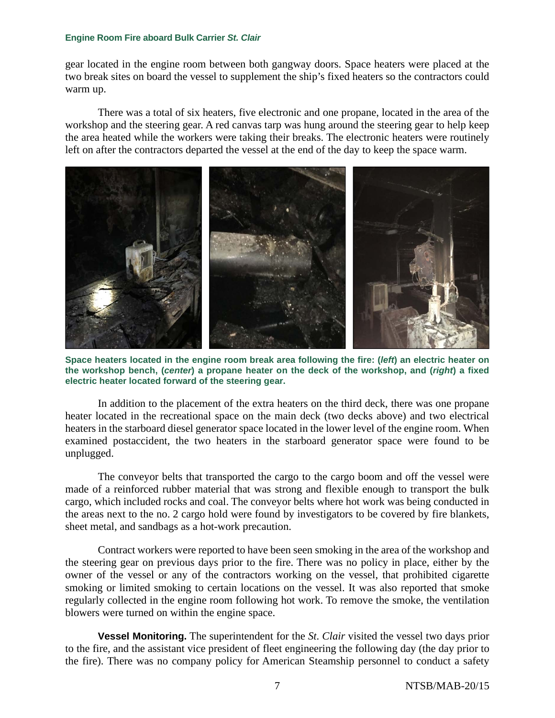gear located in the engine room between both gangway doors. Space heaters were placed at the two break sites on board the vessel to supplement the ship's fixed heaters so the contractors could warm up.

There was a total of six heaters, five electronic and one propane, located in the area of the workshop and the steering gear. A red canvas tarp was hung around the steering gear to help keep the area heated while the workers were taking their breaks. The electronic heaters were routinely left on after the contractors departed the vessel at the end of the day to keep the space warm.



**Space heaters located in the engine room break area following the fire: (***left***) an electric heater on the workshop bench, (***center***) a propane heater on the deck of the workshop, and (***right***) a fixed electric heater located forward of the steering gear.**

In addition to the placement of the extra heaters on the third deck, there was one propane heater located in the recreational space on the main deck (two decks above) and two electrical heaters in the starboard diesel generator space located in the lower level of the engine room. When examined postaccident, the two heaters in the starboard generator space were found to be unplugged.

The conveyor belts that transported the cargo to the cargo boom and off the vessel were made of a reinforced rubber material that was strong and flexible enough to transport the bulk cargo, which included rocks and coal. The conveyor belts where hot work was being conducted in the areas next to the no. 2 cargo hold were found by investigators to be covered by fire blankets, sheet metal, and sandbags as a hot-work precaution.

Contract workers were reported to have been seen smoking in the area of the workshop and the steering gear on previous days prior to the fire. There was no policy in place, either by the owner of the vessel or any of the contractors working on the vessel, that prohibited cigarette smoking or limited smoking to certain locations on the vessel. It was also reported that smoke regularly collected in the engine room following hot work. To remove the smoke, the ventilation blowers were turned on within the engine space.

**Vessel Monitoring.** The superintendent for the *St. Clair* visited the vessel two days prior to the fire, and the assistant vice president of fleet engineering the following day (the day prior to the fire). There was no company policy for American Steamship personnel to conduct a safety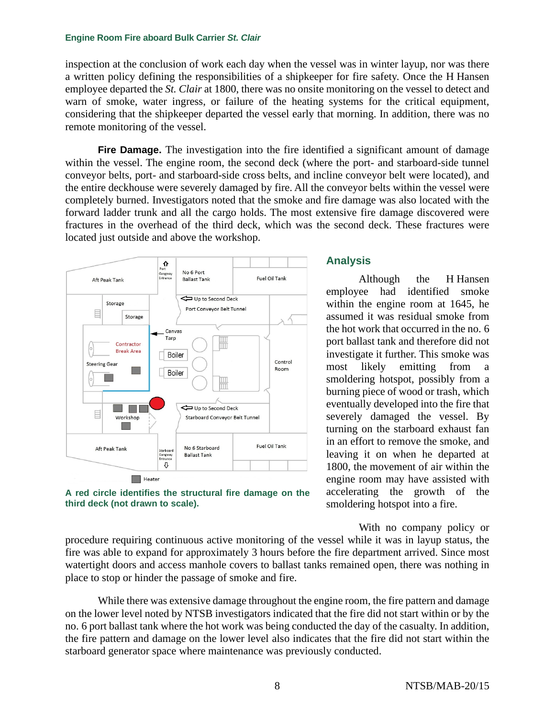inspection at the conclusion of work each day when the vessel was in winter layup, nor was there a written policy defining the responsibilities of a shipkeeper for fire safety. Once the H Hansen employee departed the *St. Clair* at 1800, there was no onsite monitoring on the vessel to detect and warn of smoke, water ingress, or failure of the heating systems for the critical equipment, considering that the shipkeeper departed the vessel early that morning. In addition, there was no remote monitoring of the vessel.

**Fire Damage.** The investigation into the fire identified a significant amount of damage within the vessel. The engine room, the second deck (where the port- and starboard-side tunnel conveyor belts, port- and starboard-side cross belts, and incline conveyor belt were located), and the entire deckhouse were severely damaged by fire. All the conveyor belts within the vessel were completely burned. Investigators noted that the smoke and fire damage was also located with the forward ladder trunk and all the cargo holds. The most extensive fire damage discovered were fractures in the overhead of the third deck, which was the second deck. These fractures were located just outside and above the workshop.



**A red circle identifies the structural fire damage on the third deck (not drawn to scale).**

### **Analysis**

Although the H Hansen employee had identified smoke within the engine room at 1645, he assumed it was residual smoke from the hot work that occurred in the no. 6 port ballast tank and therefore did not investigate it further. This smoke was most likely emitting from a smoldering hotspot, possibly from a burning piece of wood or trash, which eventually developed into the fire that severely damaged the vessel. By turning on the starboard exhaust fan in an effort to remove the smoke, and leaving it on when he departed at 1800, the movement of air within the engine room may have assisted with accelerating the growth of the smoldering hotspot into a fire.

With no company policy or procedure requiring continuous active monitoring of the vessel while it was in layup status, the fire was able to expand for approximately 3 hours before the fire department arrived. Since most watertight doors and access manhole covers to ballast tanks remained open, there was nothing in place to stop or hinder the passage of smoke and fire.

While there was extensive damage throughout the engine room, the fire pattern and damage on the lower level noted by NTSB investigators indicated that the fire did not start within or by the no. 6 port ballast tank where the hot work was being conducted the day of the casualty. In addition, the fire pattern and damage on the lower level also indicates that the fire did not start within the starboard generator space where maintenance was previously conducted.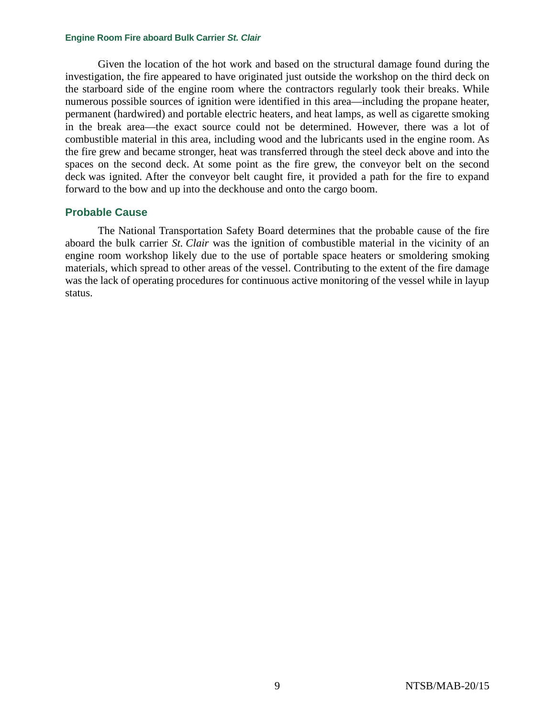Given the location of the hot work and based on the structural damage found during the investigation, the fire appeared to have originated just outside the workshop on the third deck on the starboard side of the engine room where the contractors regularly took their breaks. While numerous possible sources of ignition were identified in this area—including the propane heater, permanent (hardwired) and portable electric heaters, and heat lamps, as well as cigarette smoking in the break area—the exact source could not be determined. However, there was a lot of combustible material in this area, including wood and the lubricants used in the engine room. As the fire grew and became stronger, heat was transferred through the steel deck above and into the spaces on the second deck. At some point as the fire grew, the conveyor belt on the second deck was ignited. After the conveyor belt caught fire, it provided a path for the fire to expand forward to the bow and up into the deckhouse and onto the cargo boom.

### **Probable Cause**

The National Transportation Safety Board determines that the probable cause of the fire aboard the bulk carrier *St. Clair* was the ignition of combustible material in the vicinity of an engine room workshop likely due to the use of portable space heaters or smoldering smoking materials, which spread to other areas of the vessel. Contributing to the extent of the fire damage was the lack of operating procedures for continuous active monitoring of the vessel while in layup status.